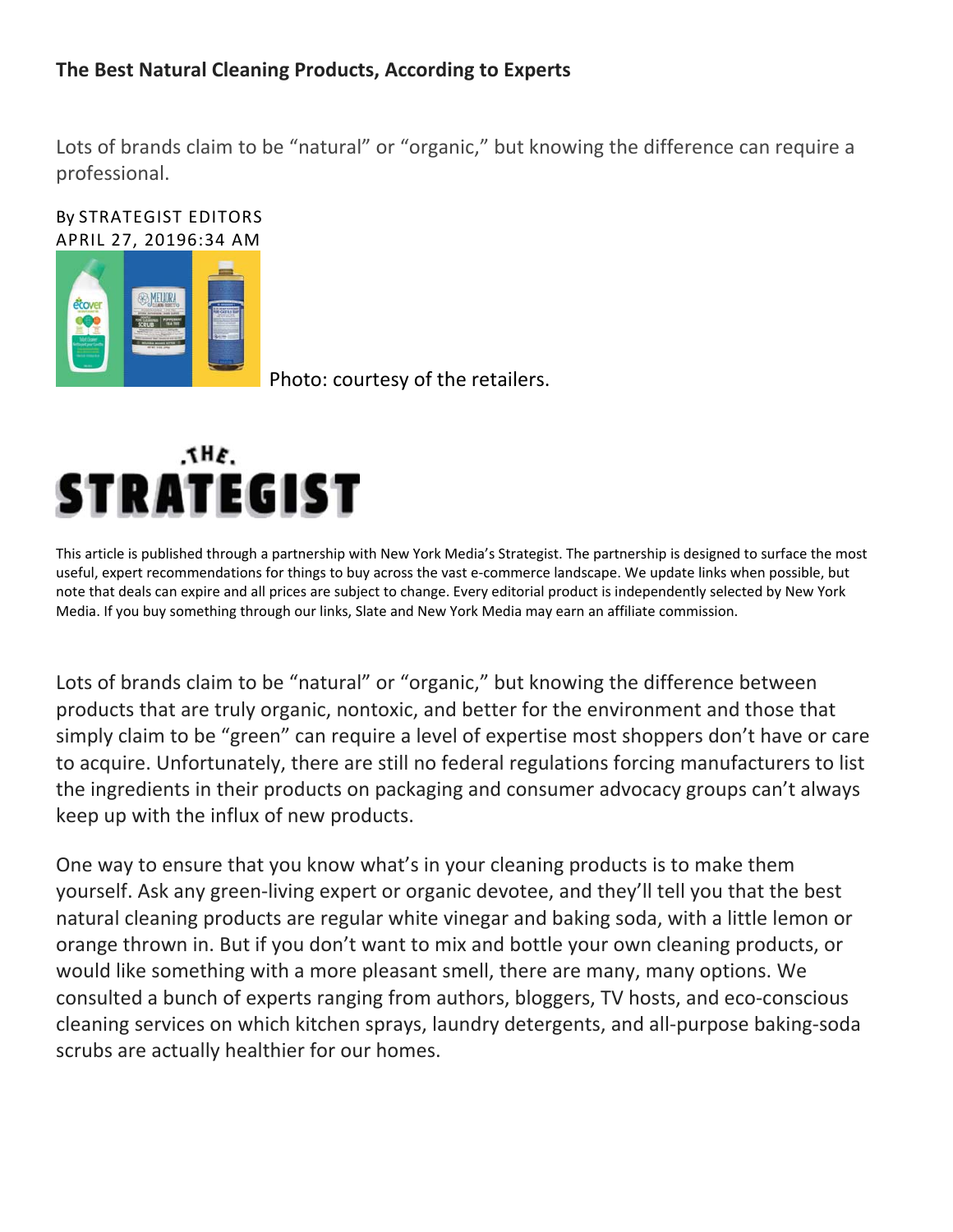## **The Best Natural Cleaning Products, According to Experts**

Lots of brands claim to be "natural" or "organic," but knowing the difference can require a professional.

#### By STRATEGIST EDITORS APRIL 27, 20196:34 AM



Photo: courtesy of the retailers.



This article is published through a partnership with New York Media's Strategist. The partnership is designed to surface the most useful, expert recommendations for things to buy across the vast e-commerce landscape. We update links when possible, but note that deals can expire and all prices are subject to change. Every editorial product is independently selected by New York Media. If you buy something through our links, Slate and New York Media may earn an affiliate commission.

Lots of brands claim to be "natural" or "organic," but knowing the difference between products that are truly organic, nontoxic, and better for the environment and those that simply claim to be "green" can require a level of expertise most shoppers don't have or care to acquire. Unfortunately, there are still no federal regulations forcing manufacturers to list the ingredients in their products on packaging and consumer advocacy groups can't always keep up with the influx of new products.

One way to ensure that you know what's in your cleaning products is to make them yourself. Ask any green‐living expert or organic devotee, and they'll tell you that the best natural cleaning products are regular white vinegar and baking soda, with a little lemon or orange thrown in. But if you don't want to mix and bottle your own cleaning products, or would like something with a more pleasant smell, there are many, many options. We consulted a bunch of experts ranging from authors, bloggers, TV hosts, and eco‐conscious cleaning services on which kitchen sprays, laundry detergents, and all‐purpose baking‐soda scrubs are actually healthier for our homes.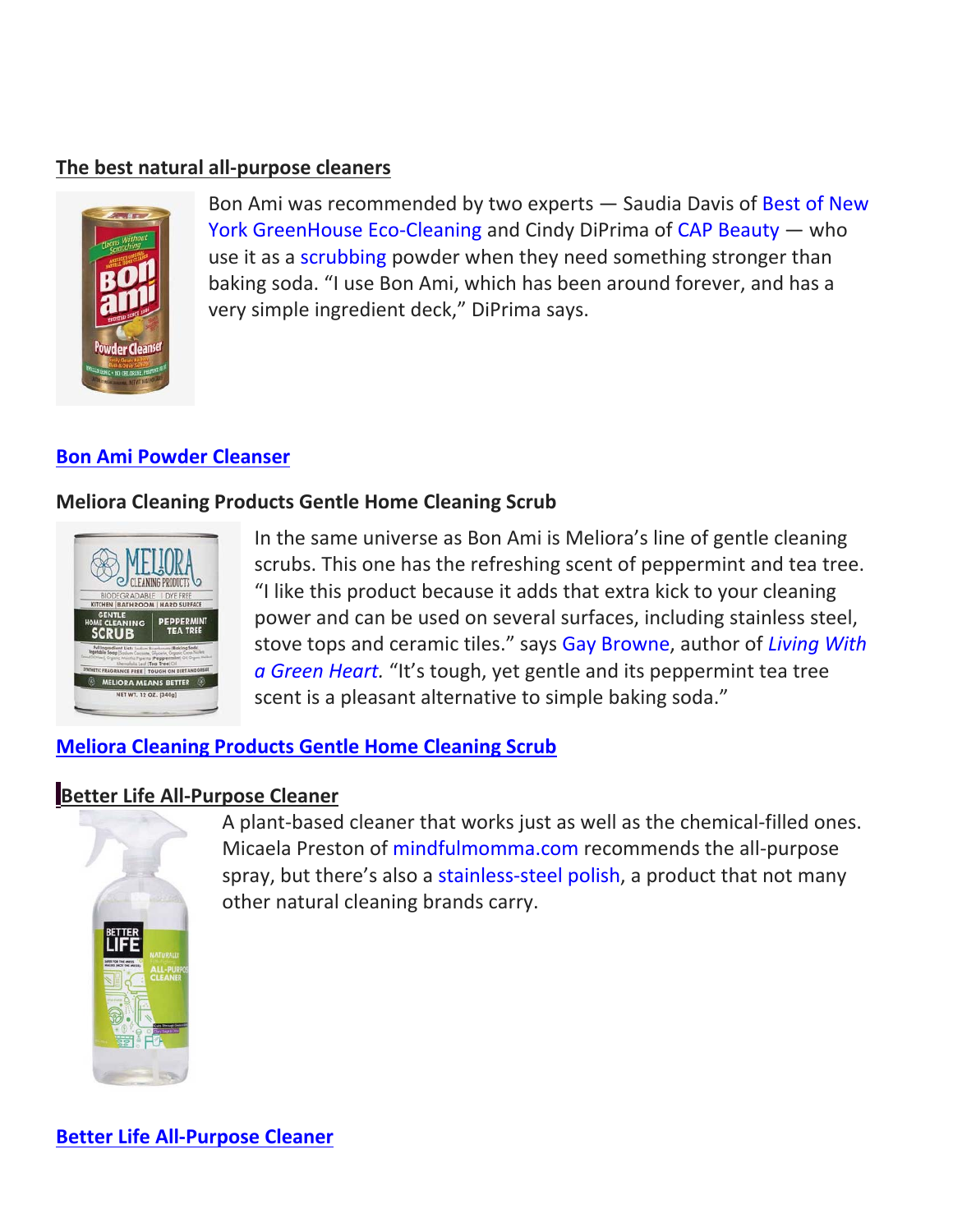### **The best natural all‐purpose cleaners**



Bon Ami was recommended by two experts - Saudia Davis of Best of New York GreenHouse Eco-Cleaning and Cindy DiPrima of CAP Beauty — who use it as a scrubbing powder when they need something stronger than baking soda. "I use Bon Ami, which has been around forever, and has a very simple ingredient deck," DiPrima says.

### **Bon Ami Powder Cleanser**

#### **Meliora Cleaning Products Gentle Home Cleaning Scrub**



In the same universe as Bon Ami is Meliora's line of gentle cleaning scrubs. This one has the refreshing scent of peppermint and tea tree. "I like this product because it adds that extra kick to your cleaning power and can be used on several surfaces, including stainless steel, stove tops and ceramic tiles." says Gay Browne, author of *Living With a Green Heart.* "It's tough, yet gentle and its peppermint tea tree scent is a pleasant alternative to simple baking soda."

## **Meliora Cleaning Products Gentle Home Cleaning Scrub**

## **Better Life All‐Purpose Cleaner**



A plant‐based cleaner that works just as well as the chemical‐filled ones. Micaela Preston of mindfulmomma.com recommends the all‐purpose spray, but there's also a stainless-steel polish, a product that not many other natural cleaning brands carry.

**Better Life All‐Purpose Cleaner**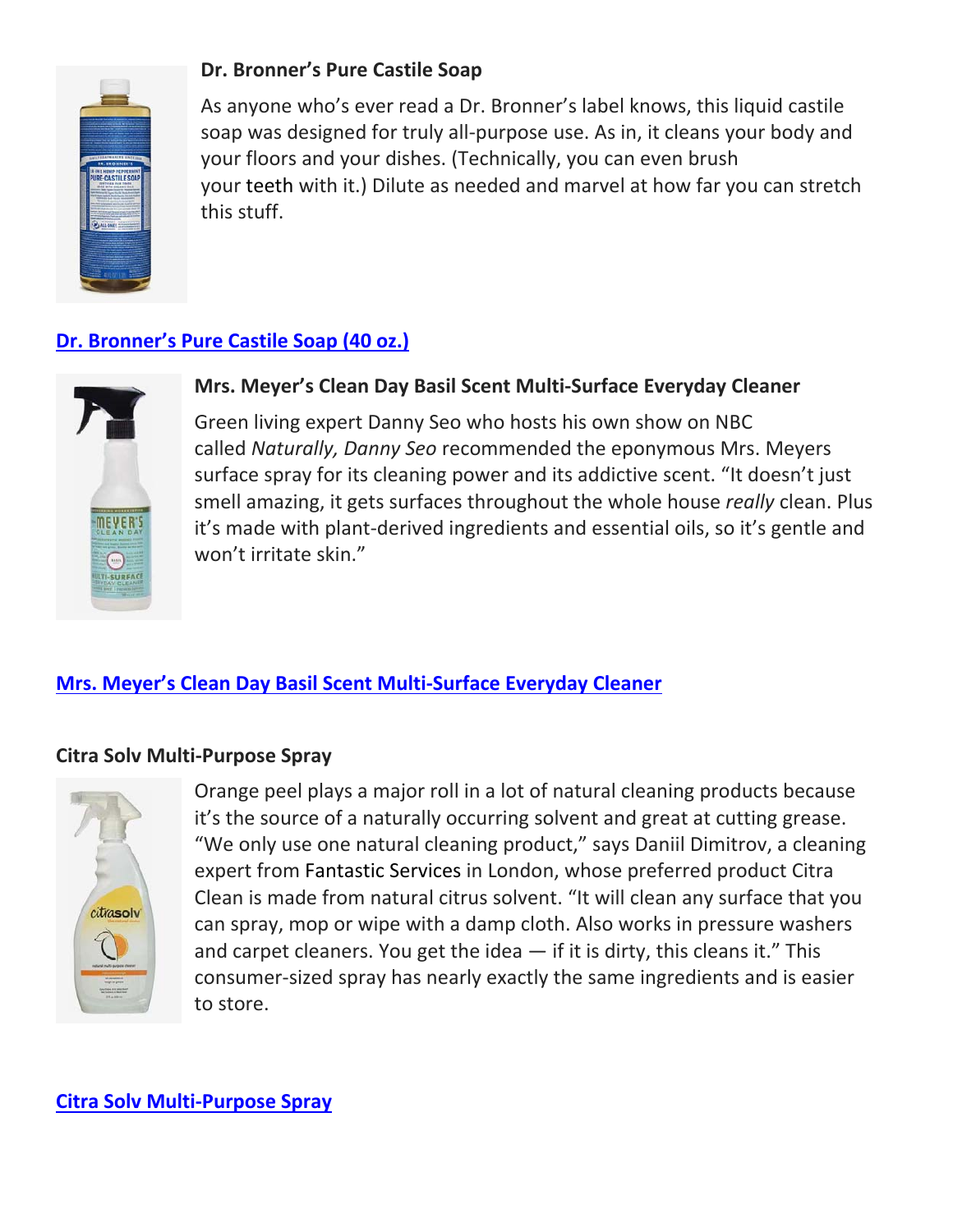

## **Dr. Bronner's Pure Castile Soap**

As anyone who's ever read a Dr. Bronner's label knows, this liquid castile soap was designed for truly all‐purpose use. As in, it cleans your body and your floors and your dishes. (Technically, you can even brush your teeth with it.) Dilute as needed and marvel at how far you can stretch this stuff.

# **Dr. Bronner's Pure Castile Soap (40 oz.)**



## **Mrs. Meyer's Clean Day Basil Scent Multi‐Surface Everyday Cleaner**

Green living expert Danny Seo who hosts his own show on NBC called *Naturally, Danny Seo* recommended the eponymous Mrs. Meyers surface spray for its cleaning power and its addictive scent. "It doesn't just smell amazing, it gets surfaces throughout the whole house *really* clean. Plus it's made with plant‐derived ingredients and essential oils, so it's gentle and won't irritate skin."

## **Mrs. Meyer's Clean Day Basil Scent Multi‐Surface Everyday Cleaner**

### **Citra Solv Multi‐Purpose Spray**



Orange peel plays a major roll in a lot of natural cleaning products because it's the source of a naturally occurring solvent and great at cutting grease. "We only use one natural cleaning product," says Daniil Dimitrov, a cleaning expert from Fantastic Services in London, whose preferred product Citra Clean is made from natural citrus solvent. "It will clean any surface that you can spray, mop or wipe with a damp cloth. Also works in pressure washers and carpet cleaners. You get the idea  $-$  if it is dirty, this cleans it." This consumer‐sized spray has nearly exactly the same ingredients and is easier to store.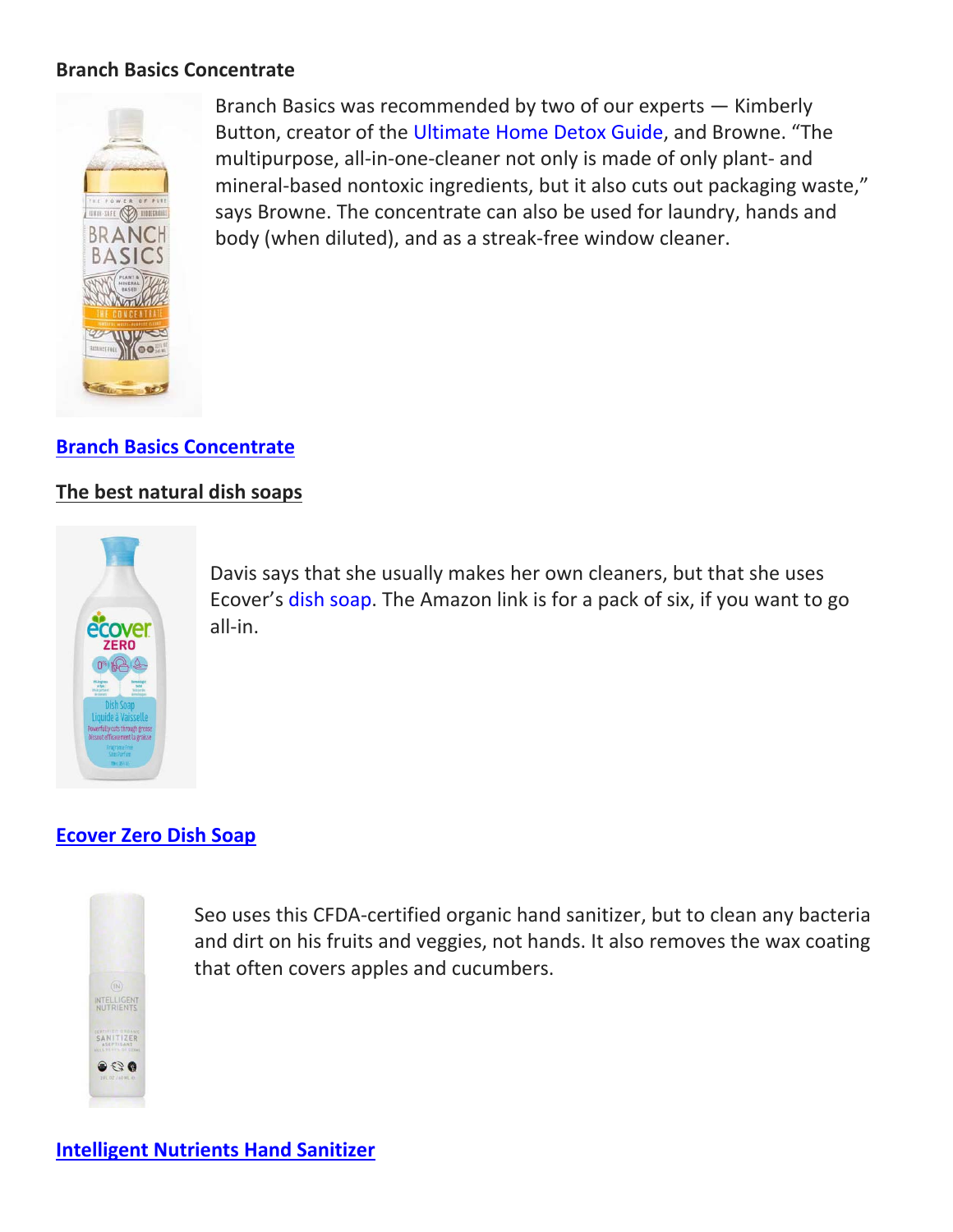### **Branch Basics Concentrate**



Branch Basics was recommended by two of our experts — Kimberly Button, creator of the Ultimate Home Detox Guide, and Browne. "The multipurpose, all‐in‐one‐cleaner not only is made of only plant‐ and mineral-based nontoxic ingredients, but it also cuts out packaging waste," says Browne. The concentrate can also be used for laundry, hands and body (when diluted), and as a streak‐free window cleaner.

## **Branch Basics Concentrate**

### **The best natural dish soaps**



Davis says that she usually makes her own cleaners, but that she uses Ecover's dish soap. The Amazon link is for a pack of six, if you want to go all‐in.

## **Ecover Zero Dish Soap**



Seo uses this CFDA‐certified organic hand sanitizer, but to clean any bacteria and dirt on his fruits and veggies, not hands. It also removes the wax coating that often covers apples and cucumbers.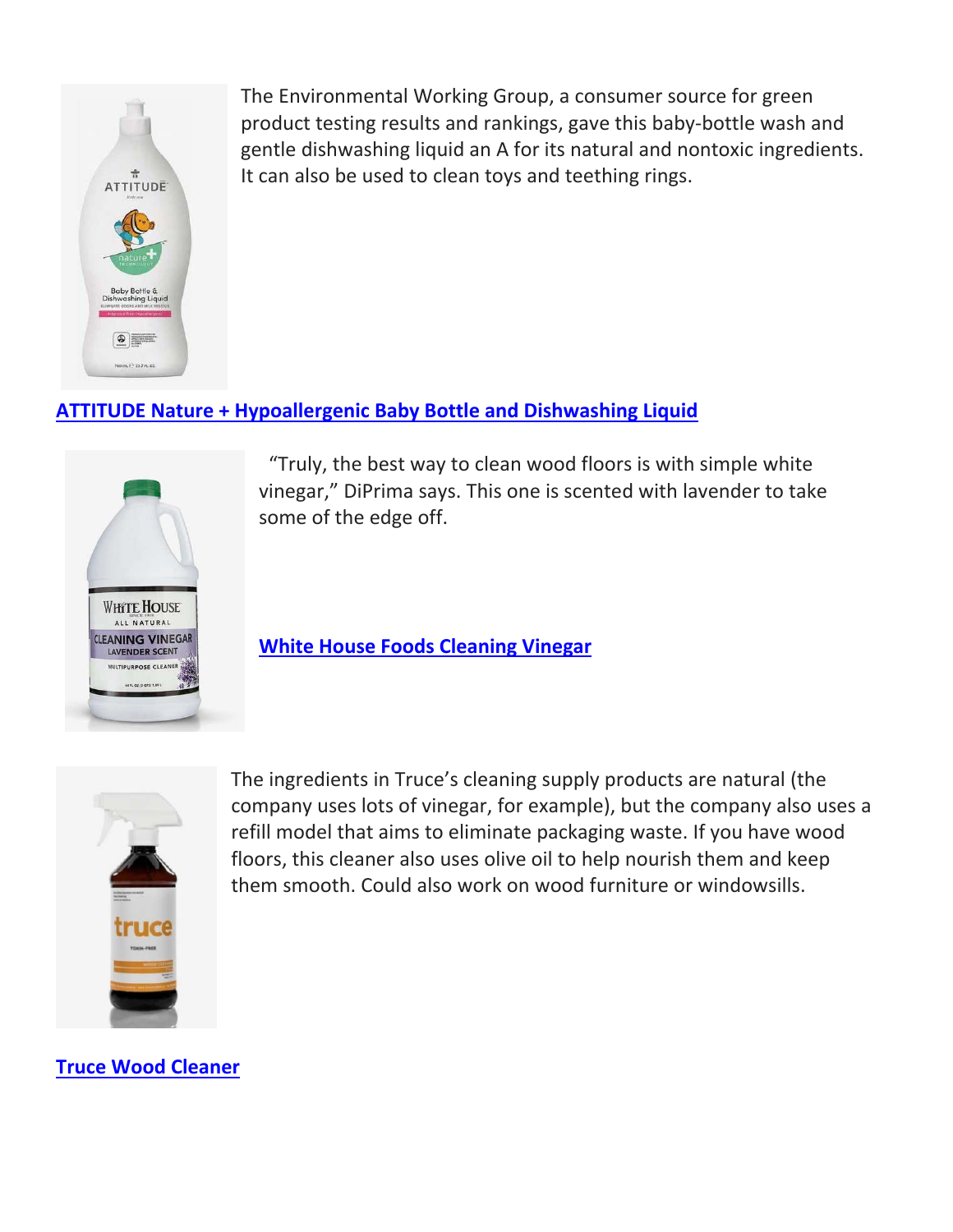

The Environmental Working Group, a consumer source for green product testing results and rankings, gave this baby‐bottle wash and gentle dishwashing liquid an A for its natural and nontoxic ingredients. It can also be used to clean toys and teething rings.

## **ATTITUDE Nature + Hypoallergenic Baby Bottle and Dishwashing Liquid**



 "Truly, the best way to clean wood floors is with simple white vinegar," DiPrima says. This one is scented with lavender to take some of the edge off.

**White House Foods Cleaning Vinegar** 



The ingredients in Truce's cleaning supply products are natural (the company uses lots of vinegar, for example), but the company also uses a refill model that aims to eliminate packaging waste. If you have wood floors, this cleaner also uses olive oil to help nourish them and keep them smooth. Could also work on wood furniture or windowsills.

**Truce Wood Cleaner**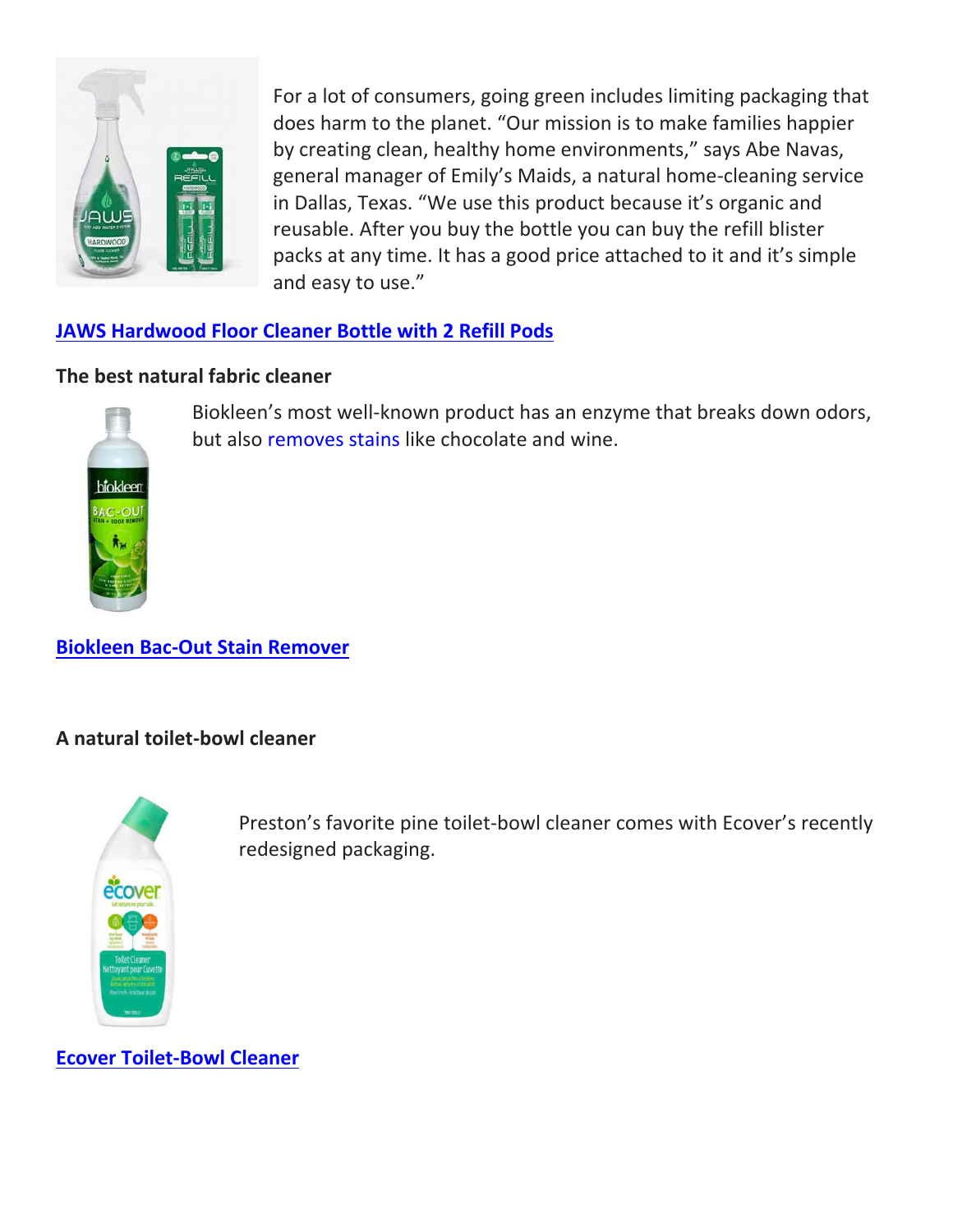

For a lot of consumers, going green includes limiting packaging that does harm to the planet. "Our mission is to make families happier by creating clean, healthy home environments," says Abe Navas, general manager of Emily's Maids, a natural home‐cleaning service in Dallas, Texas. "We use this product because it's organic and reusable. After you buy the bottle you can buy the refill blister packs at any time. It has a good price attached to it and it's simple and easy to use."

## **JAWS Hardwood Floor Cleaner Bottle with 2 Refill Pods**

### **The best natural fabric cleaner**



Biokleen's most well‐known product has an enzyme that breaks down odors, but also removes stains like chocolate and wine.

**Biokleen Bac‐Out Stain Remover**

### **A natural toilet‐bowl cleaner**



Preston's favorite pine toilet‐bowl cleaner comes with Ecover's recently redesigned packaging.

**Ecover Toilet‐Bowl Cleaner**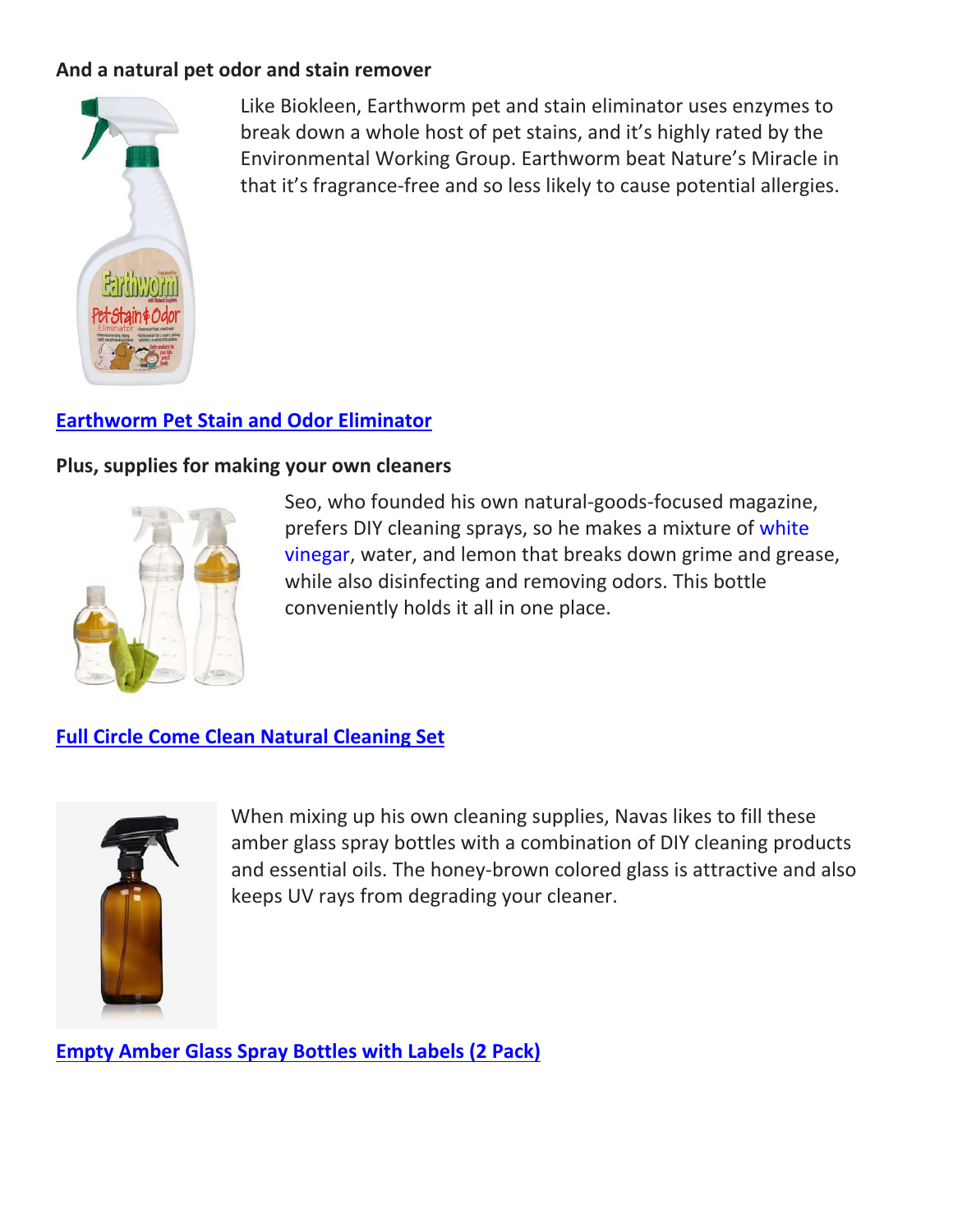### **And a natural pet odor and stain remover**



Like Biokleen, Earthworm pet and stain eliminator uses enzymes to break down a whole host of pet stains, and it's highly rated by the Environmental Working Group. Earthworm beat Nature's Miracle in that it's fragrance‐free and so less likely to cause potential allergies.

## **Earthworm Pet Stain and Odor Eliminator**

### **Plus, supplies for making your own cleaners**



Seo, who founded his own natural‐goods‐focused magazine, prefers DIY cleaning sprays, so he makes a mixture of white vinegar, water, and lemon that breaks down grime and grease, while also disinfecting and removing odors. This bottle conveniently holds it all in one place.

**Full Circle Come Clean Natural Cleaning Set** 



When mixing up his own cleaning supplies, Navas likes to fill these amber glass spray bottles with a combination of DIY cleaning products and essential oils. The honey‐brown colored glass is attractive and also keeps UV rays from degrading your cleaner.

**Empty Amber Glass Spray Bottles with Labels (2 Pack)**